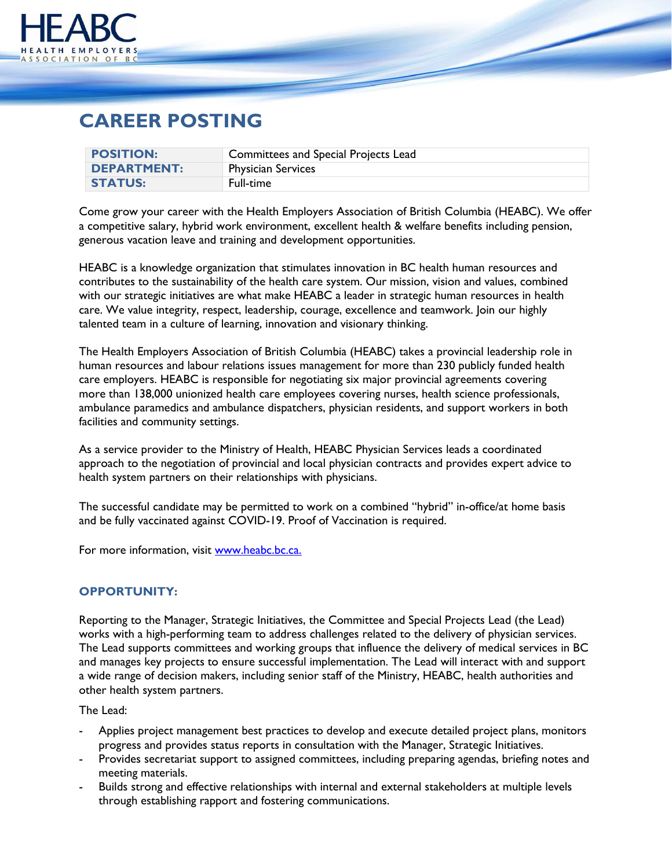

## **CAREER POSTING**

| <b>POSITION:</b>   | Committees and Special Projects Lead |
|--------------------|--------------------------------------|
| <b>DEPARTMENT:</b> | <b>Physician Services</b>            |
| <b>STATUS:</b>     | Full-time                            |

Come grow your career with the Health Employers Association of British Columbia (HEABC). We offer a competitive salary, hybrid work environment, excellent health & welfare benefits including pension, generous vacation leave and training and development opportunities.

HEABC is a knowledge organization that stimulates innovation in BC health human resources and contributes to the sustainability of the health care system. Our mission, vision and values, combined with our strategic initiatives are what make HEABC a leader in strategic human resources in health care. We value integrity, respect, leadership, courage, excellence and teamwork. Join our highly talented team in a culture of learning, innovation and visionary thinking.

The Health Employers Association of British Columbia (HEABC) takes a provincial leadership role in human resources and labour relations issues management for more than 230 publicly funded health care employers. HEABC is responsible for negotiating six major provincial agreements covering more than 138,000 unionized health care employees covering nurses, health science professionals, ambulance paramedics and ambulance dispatchers, physician residents, and support workers in both facilities and community settings.

As a service provider to the Ministry of Health, HEABC Physician Services leads a coordinated approach to the negotiation of provincial and local physician contracts and provides expert advice to health system partners on their relationships with physicians.

The successful candidate may be permitted to work on a combined "hybrid" in-office/at home basis and be fully vaccinated against COVID-19. Proof of Vaccination is required.

For more information, visit [www.heabc.bc.ca.](http://www.heabc.bc.ca/)

## **OPPORTUNITY:**

Reporting to the Manager, Strategic Initiatives, the Committee and Special Projects Lead (the Lead) works with a high-performing team to address challenges related to the delivery of physician services. The Lead supports committees and working groups that influence the delivery of medical services in BC and manages key projects to ensure successful implementation. The Lead will interact with and support a wide range of decision makers, including senior staff of the Ministry, HEABC, health authorities and other health system partners.

The Lead:

- Applies project management best practices to develop and execute detailed project plans, monitors progress and provides status reports in consultation with the Manager, Strategic Initiatives.
- Provides secretariat support to assigned committees, including preparing agendas, briefing notes and meeting materials.
- Builds strong and effective relationships with internal and external stakeholders at multiple levels through establishing rapport and fostering communications.